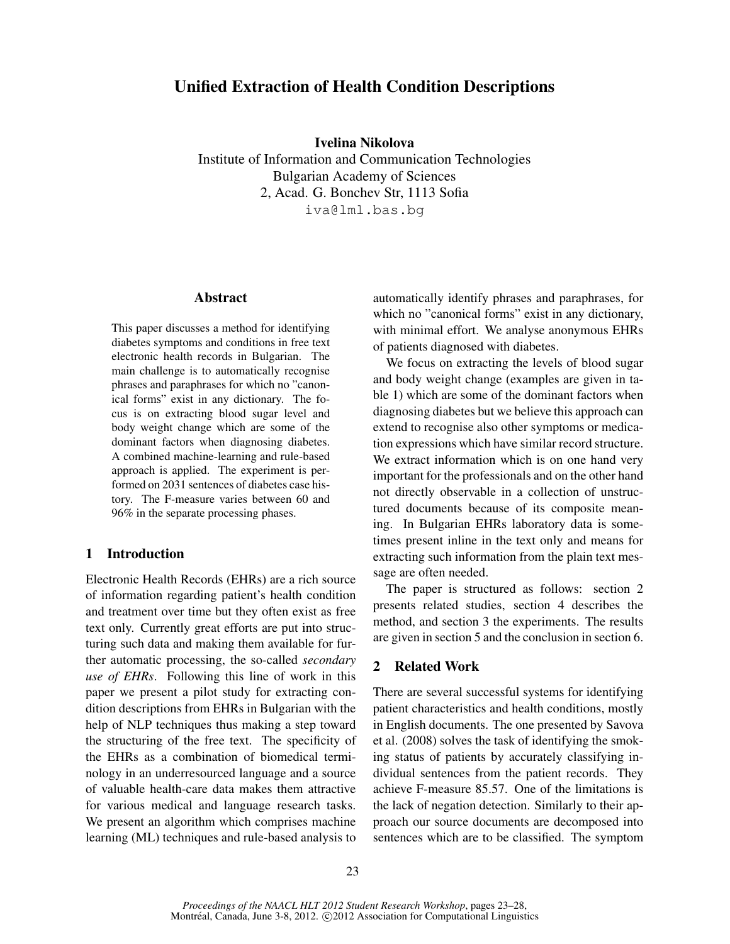# Unified Extraction of Health Condition Descriptions

Ivelina Nikolova

Institute of Information and Communication Technologies Bulgarian Academy of Sciences 2, Acad. G. Bonchev Str, 1113 Sofia iva@lml.bas.bg

## Abstract

This paper discusses a method for identifying diabetes symptoms and conditions in free text electronic health records in Bulgarian. The main challenge is to automatically recognise phrases and paraphrases for which no "canonical forms" exist in any dictionary. The focus is on extracting blood sugar level and body weight change which are some of the dominant factors when diagnosing diabetes. A combined machine-learning and rule-based approach is applied. The experiment is performed on 2031 sentences of diabetes case history. The F-measure varies between 60 and 96% in the separate processing phases.

## 1 Introduction

Electronic Health Records (EHRs) are a rich source of information regarding patient's health condition and treatment over time but they often exist as free text only. Currently great efforts are put into structuring such data and making them available for further automatic processing, the so-called *secondary use of EHRs*. Following this line of work in this paper we present a pilot study for extracting condition descriptions from EHRs in Bulgarian with the help of NLP techniques thus making a step toward the structuring of the free text. The specificity of the EHRs as a combination of biomedical terminology in an underresourced language and a source of valuable health-care data makes them attractive for various medical and language research tasks. We present an algorithm which comprises machine learning (ML) techniques and rule-based analysis to automatically identify phrases and paraphrases, for which no "canonical forms" exist in any dictionary, with minimal effort. We analyse anonymous EHRs of patients diagnosed with diabetes.

We focus on extracting the levels of blood sugar and body weight change (examples are given in table 1) which are some of the dominant factors when diagnosing diabetes but we believe this approach can extend to recognise also other symptoms or medication expressions which have similar record structure. We extract information which is on one hand very important for the professionals and on the other hand not directly observable in a collection of unstructured documents because of its composite meaning. In Bulgarian EHRs laboratory data is sometimes present inline in the text only and means for extracting such information from the plain text message are often needed.

The paper is structured as follows: section 2 presents related studies, section 4 describes the method, and section 3 the experiments. The results are given in section 5 and the conclusion in section 6.

## 2 Related Work

There are several successful systems for identifying patient characteristics and health conditions, mostly in English documents. The one presented by Savova et al. (2008) solves the task of identifying the smoking status of patients by accurately classifying individual sentences from the patient records. They achieve F-measure 85.57. One of the limitations is the lack of negation detection. Similarly to their approach our source documents are decomposed into sentences which are to be classified. The symptom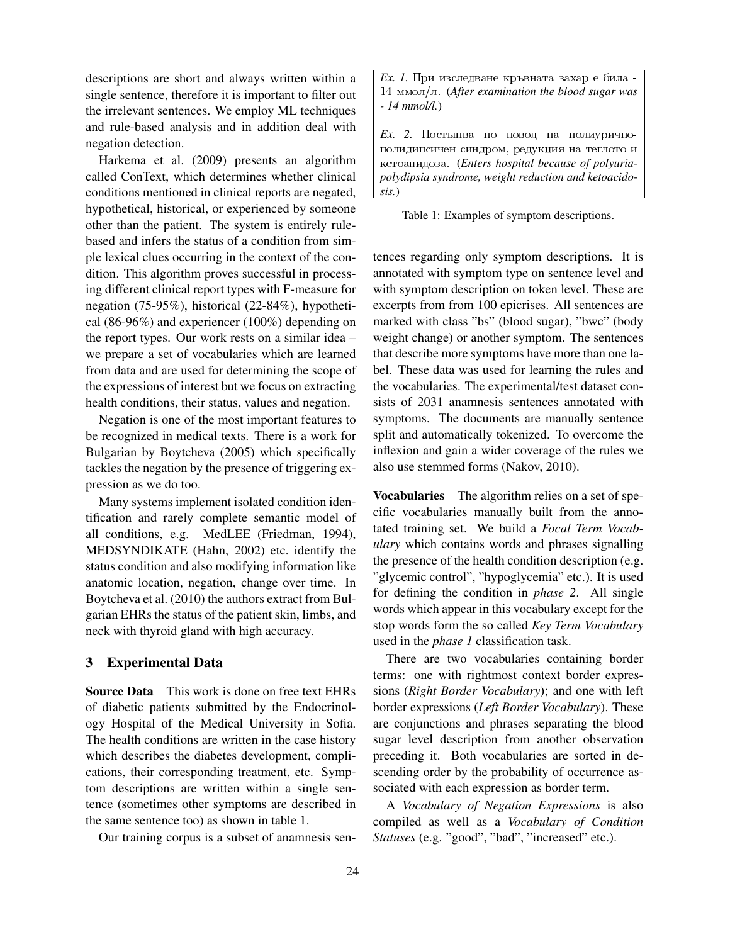descriptions are short and always written within a single sentence, therefore it is important to filter out the irrelevant sentences. We employ ML techniques and rule-based analysis and in addition deal with negation detection.

Harkema et al. (2009) presents an algorithm called ConText, which determines whether clinical conditions mentioned in clinical reports are negated, hypothetical, historical, or experienced by someone other than the patient. The system is entirely rulebased and infers the status of a condition from simple lexical clues occurring in the context of the condition. This algorithm proves successful in processing different clinical report types with F-measure for negation (75-95%), historical (22-84%), hypothetical (86-96%) and experiencer (100%) depending on the report types. Our work rests on a similar idea – we prepare a set of vocabularies which are learned from data and are used for determining the scope of the expressions of interest but we focus on extracting health conditions, their status, values and negation.

Negation is one of the most important features to be recognized in medical texts. There is a work for Bulgarian by Boytcheva (2005) which specifically tackles the negation by the presence of triggering expression as we do too.

Many systems implement isolated condition identification and rarely complete semantic model of all conditions, e.g. MedLEE (Friedman, 1994), MEDSYNDIKATE (Hahn, 2002) etc. identify the status condition and also modifying information like anatomic location, negation, change over time. In Boytcheva et al. (2010) the authors extract from Bulgarian EHRs the status of the patient skin, limbs, and neck with thyroid gland with high accuracy.

#### 3 Experimental Data

Source Data This work is done on free text EHRs of diabetic patients submitted by the Endocrinology Hospital of the Medical University in Sofia. The health conditions are written in the case history which describes the diabetes development, complications, their corresponding treatment, etc. Symptom descriptions are written within a single sentence (sometimes other symptoms are described in the same sentence too) as shown in table 1.

Our training corpus is a subset of anamnesis sen-

 $Ex.$  *I*. При изследване кръвната захар е била - $14$   $\mu$ <sub>MMOJ</sub> $\pi$ . (*After examination the blood sugar was - 14 mmol/l.*)

*Ex.* 2. Постыпва по повод на полиуричнополидипсичен синдром, редукция на теглото и ketoacidoza. (*Enters hospital because of polyuriapolydipsia syndrome, weight reduction and ketoacidosis.*)

Table 1: Examples of symptom descriptions.

tences regarding only symptom descriptions. It is annotated with symptom type on sentence level and with symptom description on token level. These are excerpts from from 100 epicrises. All sentences are marked with class "bs" (blood sugar), "bwc" (body weight change) or another symptom. The sentences that describe more symptoms have more than one label. These data was used for learning the rules and the vocabularies. The experimental/test dataset consists of 2031 anamnesis sentences annotated with symptoms. The documents are manually sentence split and automatically tokenized. To overcome the inflexion and gain a wider coverage of the rules we also use stemmed forms (Nakov, 2010).

Vocabularies The algorithm relies on a set of specific vocabularies manually built from the annotated training set. We build a *Focal Term Vocabulary* which contains words and phrases signalling the presence of the health condition description (e.g. "glycemic control", "hypoglycemia" etc.). It is used for defining the condition in *phase 2*. All single words which appear in this vocabulary except for the stop words form the so called *Key Term Vocabulary* used in the *phase 1* classification task.

There are two vocabularies containing border terms: one with rightmost context border expressions (*Right Border Vocabulary*); and one with left border expressions (*Left Border Vocabulary*). These are conjunctions and phrases separating the blood sugar level description from another observation preceding it. Both vocabularies are sorted in descending order by the probability of occurrence associated with each expression as border term.

A *Vocabulary of Negation Expressions* is also compiled as well as a *Vocabulary of Condition Statuses* (e.g. "good", "bad", "increased" etc.).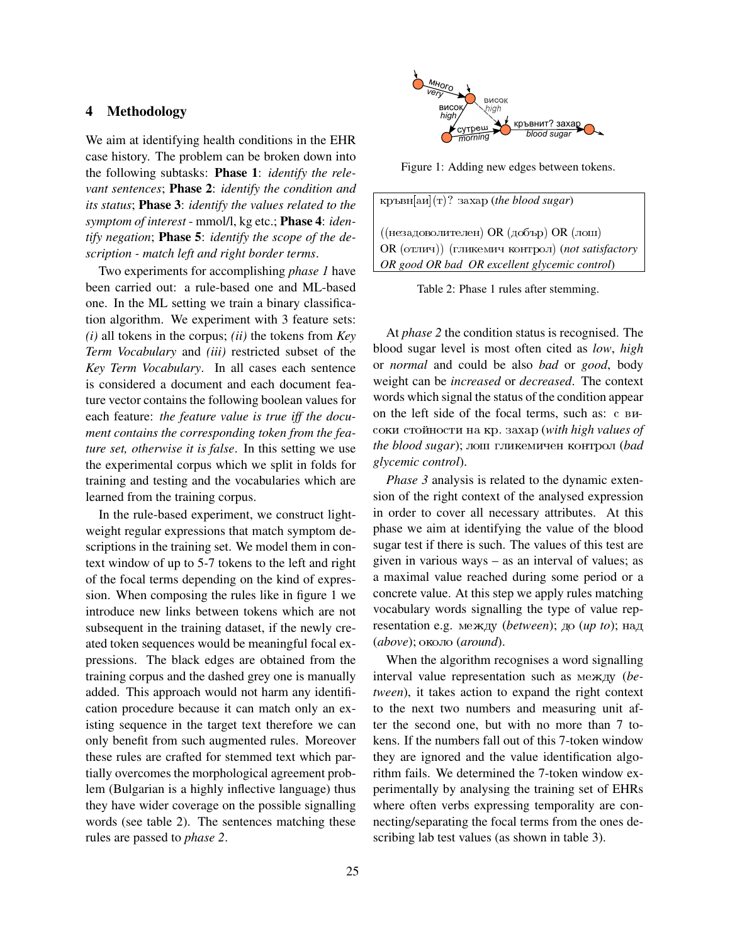## 4 Methodology

We aim at identifying health conditions in the EHR case history. The problem can be broken down into the following subtasks: Phase 1: *identify the relevant sentences*; Phase 2: *identify the condition and its status*; Phase 3: *identify the values related to the symptom of interest* - mmol/l, kg etc.; Phase 4: *identify negation*; Phase 5: *identify the scope of the description - match left and right border terms*.

Two experiments for accomplishing *phase 1* have been carried out: a rule-based one and ML-based one. In the ML setting we train a binary classification algorithm. We experiment with 3 feature sets: *(i)* all tokens in the corpus; *(ii)* the tokens from *Key Term Vocabulary* and *(iii)* restricted subset of the *Key Term Vocabulary*. In all cases each sentence is considered a document and each document feature vector contains the following boolean values for each feature: *the feature value is true iff the document contains the corresponding token from the feature set, otherwise it is false*. In this setting we use the experimental corpus which we split in folds for training and testing and the vocabularies which are learned from the training corpus.

In the rule-based experiment, we construct lightweight regular expressions that match symptom descriptions in the training set. We model them in context window of up to 5-7 tokens to the left and right of the focal terms depending on the kind of expression. When composing the rules like in figure 1 we introduce new links between tokens which are not subsequent in the training dataset, if the newly created token sequences would be meaningful focal expressions. The black edges are obtained from the training corpus and the dashed grey one is manually added. This approach would not harm any identification procedure because it can match only an existing sequence in the target text therefore we can only benefit from such augmented rules. Moreover these rules are crafted for stemmed text which partially overcomes the morphological agreement problem (Bulgarian is a highly inflective language) thus they have wider coverage on the possible signalling words (see table 2). The sentences matching these rules are passed to *phase 2*.



Figure 1: Adding new edges between tokens.

| кръвн $\lbrack \text{au} \rbrack(\texttt{t})$ ? захар (the blood sugar) |  |  |  |  |  |
|-------------------------------------------------------------------------|--|--|--|--|--|
| ((незадоволителен) OR (добър) OR (лош)                                  |  |  |  |  |  |
| OR (отлич)) (гликемич контрол) (not satisfactory                        |  |  |  |  |  |
| OR good OR bad OR excellent glycemic control)                           |  |  |  |  |  |

Table 2: Phase 1 rules after stemming.

At *phase 2* the condition status is recognised. The blood sugar level is most often cited as *low*, *high* or *normal* and could be also *bad* or *good*, body weight can be *increased* or *decreased*. The context words which signal the status of the condition appear on the left side of the focal terms, such as: c BHsoki sto\$inosti na kr. zahar (*with high values of the blood sugar*); лош гликемичен контрол (*bad glycemic control*).

*Phase 3* analysis is related to the dynamic extension of the right context of the analysed expression in order to cover all necessary attributes. At this phase we aim at identifying the value of the blood sugar test if there is such. The values of this test are given in various ways – as an interval of values; as a maximal value reached during some period or a concrete value. At this step we apply rules matching vocabulary words signalling the type of value representation e.g. между (*between*); до (*up to*); над (*above*); около (*around*).

When the algorithm recognises a word signalling interval value representation such as  $\text{Me}$ <sub>N</sub> (*between*), it takes action to expand the right context to the next two numbers and measuring unit after the second one, but with no more than 7 tokens. If the numbers fall out of this 7-token window they are ignored and the value identification algorithm fails. We determined the 7-token window experimentally by analysing the training set of EHRs where often verbs expressing temporality are connecting/separating the focal terms from the ones describing lab test values (as shown in table 3).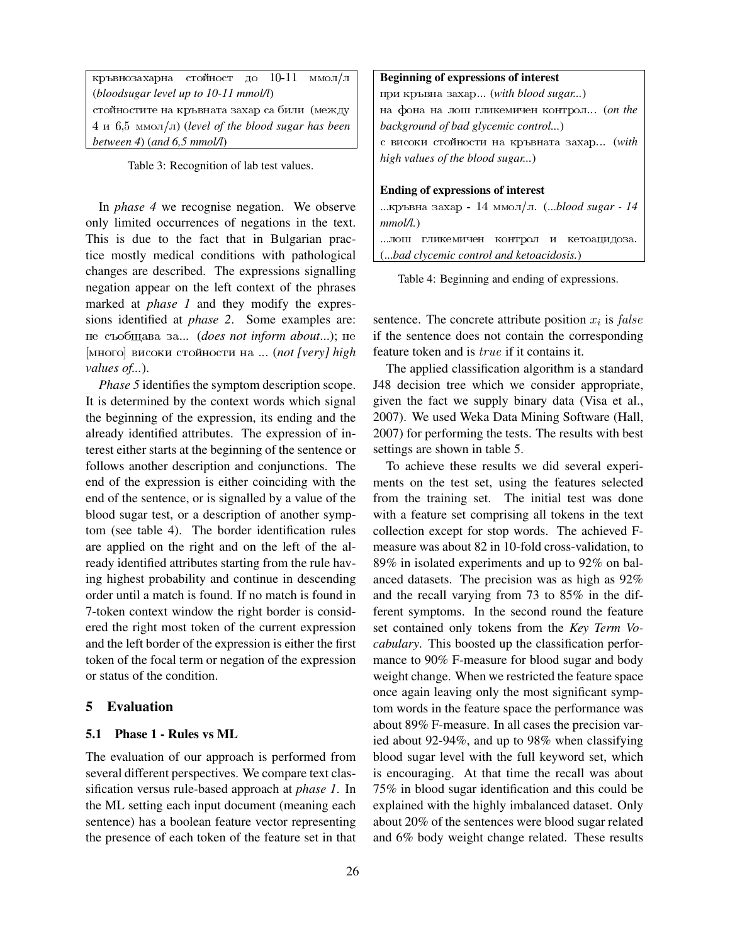| кръвнозахарна стойност до 10-11 ммол/л             |  |  |  |  |  |  |
|----------------------------------------------------|--|--|--|--|--|--|
| (bloodsugar level up to $10-11$ mmol/l)            |  |  |  |  |  |  |
| стойностите на кръвната захар са били (между       |  |  |  |  |  |  |
| 4 и 6,5 ммол/л) (level of the blood sugar has been |  |  |  |  |  |  |
| between 4) (and $6.5$ mmol/l)                      |  |  |  |  |  |  |

Table 3: Recognition of lab test values.

In *phase 4* we recognise negation. We observe only limited occurrences of negations in the text. This is due to the fact that in Bulgarian practice mostly medical conditions with pathological changes are described. The expressions signalling negation appear on the left context of the phrases marked at *phase 1* and they modify the expressions identified at *phase 2*. Some examples are: ne sobwava za... (*does not inform about*...); ne [mnogo] visoki sto\$inosti na ... (*not [very] high values of...*).

*Phase 5* identifies the symptom description scope. It is determined by the context words which signal the beginning of the expression, its ending and the already identified attributes. The expression of interest either starts at the beginning of the sentence or follows another description and conjunctions. The end of the expression is either coinciding with the end of the sentence, or is signalled by a value of the blood sugar test, or a description of another symptom (see table 4). The border identification rules are applied on the right and on the left of the already identified attributes starting from the rule having highest probability and continue in descending order until a match is found. If no match is found in 7-token context window the right border is considered the right most token of the current expression and the left border of the expression is either the first token of the focal term or negation of the expression or status of the condition.

## 5 Evaluation

#### 5.1 Phase 1 - Rules vs ML

The evaluation of our approach is performed from several different perspectives. We compare text classification versus rule-based approach at *phase 1*. In the ML setting each input document (meaning each sentence) has a boolean feature vector representing the presence of each token of the feature set in that

### Beginning of expressions of interest

при кръвна захар... (*with blood sugar...*) na fona na lox glikemiqen kontrol... (*on the background of bad glycemic control...*) с високи стойности на кръвната захар... (with *high values of the blood sugar...*)

#### Ending of expressions of interest

...кръвна захар - 14 ммол/л. (...*blood sugar - 14 mmol/l.*) ... лош гликемичен контрол и кетоацидоза. (...*bad clycemic control and ketoacidosis.*)

Table 4: Beginning and ending of expressions.

sentence. The concrete attribute position  $x_i$  is  $false$ if the sentence does not contain the corresponding feature token and is *true* if it contains it.

The applied classification algorithm is a standard J48 decision tree which we consider appropriate, given the fact we supply binary data (Visa et al., 2007). We used Weka Data Mining Software (Hall, 2007) for performing the tests. The results with best settings are shown in table 5.

To achieve these results we did several experiments on the test set, using the features selected from the training set. The initial test was done with a feature set comprising all tokens in the text collection except for stop words. The achieved Fmeasure was about 82 in 10-fold cross-validation, to 89% in isolated experiments and up to 92% on balanced datasets. The precision was as high as 92% and the recall varying from 73 to 85% in the different symptoms. In the second round the feature set contained only tokens from the *Key Term Vocabulary*. This boosted up the classification performance to 90% F-measure for blood sugar and body weight change. When we restricted the feature space once again leaving only the most significant symptom words in the feature space the performance was about 89% F-measure. In all cases the precision varied about 92-94%, and up to 98% when classifying blood sugar level with the full keyword set, which is encouraging. At that time the recall was about 75% in blood sugar identification and this could be explained with the highly imbalanced dataset. Only about 20% of the sentences were blood sugar related and 6% body weight change related. These results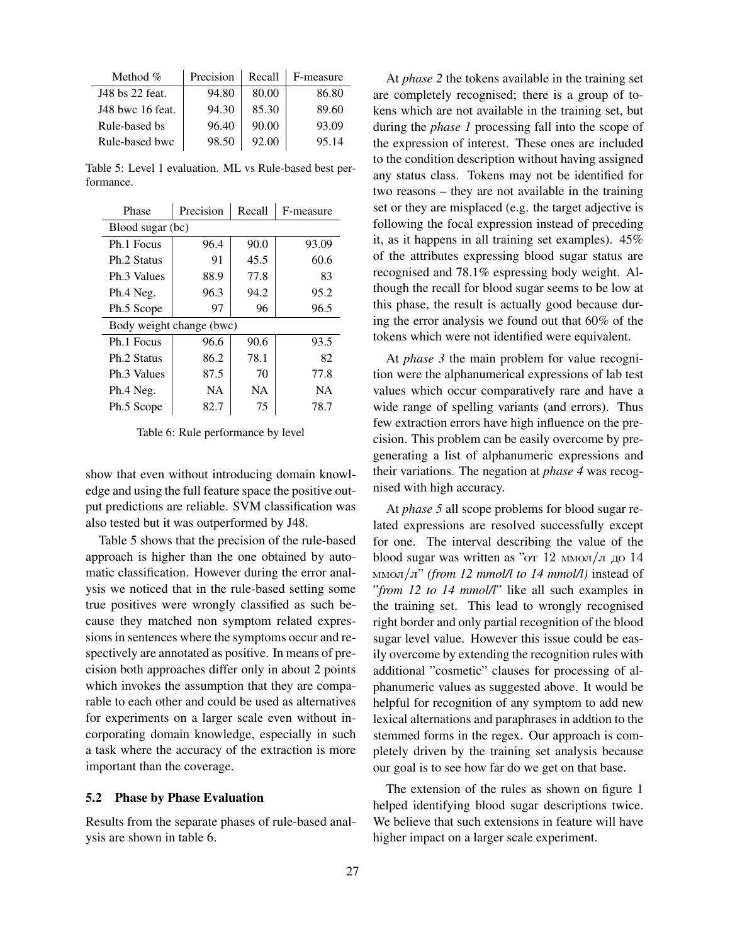| Method $%$       | Precision | Recall | F-measure |
|------------------|-----------|--------|-----------|
| J48 bs 22 feat.  | 94.80     | 80.00  | 86.80     |
| J48 bwc 16 feat. | 94.30     | 85.30  | 89.60     |
| Rule-based bs    | 96.40     | 90.00  | 93.09     |
| Rule-based bwc   | 98.50     | 92.00  | 95.14     |

Table 5: Level 1 evaluation. ML vs Rule-based best performance.

| Phase                    | Precision | Recall | F-measure |  |  |  |
|--------------------------|-----------|--------|-----------|--|--|--|
| Blood sugar (bc)         |           |        |           |  |  |  |
| Ph.1 Focus               | 96.4      | 90.0   | 93.09     |  |  |  |
| Ph.2 Status              | 91        | 45.5   | 60.6      |  |  |  |
| Ph.3 Values              | 88.9      | 77.8   | 83        |  |  |  |
| Ph.4 Neg.                | 96.3      | 94.2   | 95.2      |  |  |  |
| Ph.5 Scope               | 97        | 96     | 96.5      |  |  |  |
| Body weight change (bwc) |           |        |           |  |  |  |
| Ph.1 Focus               | 96.6      | 90.6   | 93.5      |  |  |  |
| Ph.2 Status              | 86.2      | 78.1   | 82        |  |  |  |
| Ph.3 Values              | 87.5      | 70     | 77.8      |  |  |  |
| Ph.4 Neg.                | NA.       | NA.    | <b>NA</b> |  |  |  |
| Ph.5 Scope               | 82.7      | 75     | 78.7      |  |  |  |

Table 6: Rule performance by level

show that even without introducing domain knowledge and using the full feature space the positive output predictions are reliable. SVM classification was also tested but it was outperformed by J48.

Table 5 shows that the precision of the rule-based approach is higher than the one obtained by automatic classification. However during the error analysis we noticed that in the rule-based setting some true positives were wrongly classified as such because they matched non symptom related expressions in sentences where the symptoms occur and respectively are annotated as positive. In means of precision both approaches differ only in about 2 points which invokes the assumption that they are comparable to each other and could be used as alternatives for experiments on a larger scale even without incorporating domain knowledge, especially in such a task where the accuracy of the extraction is more important than the coverage.

#### 5.2 Phase by Phase Evaluation

Results from the separate phases of rule-based analysis are shown in table 6.

At *phase 2* the tokens available in the training set are completely recognised; there is a group of tokens which are not available in the training set, but during the *phase 1* processing fall into the scope of the expression of interest. These ones are included to the condition description without having assigned any status class. Tokens may not be identified for two reasons – they are not available in the training set or they are misplaced (e.g. the target adjective is following the focal expression instead of preceding it, as it happens in all training set examples). 45% of the attributes expressing blood sugar status are recognised and 78.1% espressing body weight. Although the recall for blood sugar seems to be low at this phase, the result is actually good because during the error analysis we found out that 60% of the tokens which were not identified were equivalent.

At *phase 3* the main problem for value recognition were the alphanumerical expressions of lab test values which occur comparatively rare and have a wide range of spelling variants (and errors). Thus few extraction errors have high influence on the precision. This problem can be easily overcome by pregenerating a list of alphanumeric expressions and their variations. The negation at *phase 4* was recognised with high accuracy.

At *phase 5* all scope problems for blood sugar related expressions are resolved successfully except for one. The interval describing the value of the blood sugar was written as " $\sigma$ T 12 MMOJ/J  $\mu$  0 14 mmol/l" *(from 12 mmol/l to 14 mmol/l)* instead of "*from 12 to 14 mmol/l*" like all such examples in the training set. This lead to wrongly recognised right border and only partial recognition of the blood sugar level value. However this issue could be easily overcome by extending the recognition rules with additional "cosmetic" clauses for processing of alphanumeric values as suggested above. It would be helpful for recognition of any symptom to add new lexical alternations and paraphrases in addtion to the stemmed forms in the regex. Our approach is completely driven by the training set analysis because our goal is to see how far do we get on that base.

The extension of the rules as shown on figure 1 helped identifying blood sugar descriptions twice. We believe that such extensions in feature will have higher impact on a larger scale experiment.